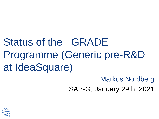Status of the GRADE Programme (Generic pre-R&D at IdeaSquare)

Markus Nordberg

ISAB-G, January 29th, 2021

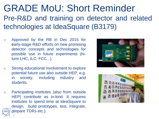## GRADE MoU: Short Reminder Pre-R&D and training on detector and related technologies at IdeaSquare (B3179)

- o Approved by the RB in Dec 2015 for early-stage R&D efforts on new promising detector concepts and technologies for possible use in future experiments (hilumi LHC, ILC, FCC...).
- o Strong educational involvement to explore potential future use also outside HEP, e.g. in society, including industry and students.
- o Participating institutes (also from outside HEP) contribute as in-kind. It requires institutes to spend time at IdeaSquare to design, build prototypes, test, integrate, prepare TDRs etc.).



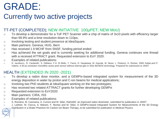# GRADE:

### Currently two active projects

#### TT-PET (COMPLETED); NEW INITIATIVE 100µPET; NEW MoU)

- o To develop a demonstrator for a ToF PET Scanner with a chip of matrix of 3x10 pixels with efficiency larger than 99.9% and a time resolution down to 110ps;
- o Involving testing and student presence at IdeaSquare;
- o Main partners: Geneva, HUG, Bern
- o Has received 1.9 MCHF from SNSF, funding period ended
- o Has achieved the set goals and is currently seeking for additional funding. Geneva continues one thread with a received ATTRACT grant. Requested extension to EoY 2020.
- o Examples of related publications:
- o G. Iacobucci,, R. Cardarelli,, S. Débieux, F.A. Di Bello, Y. Favre, D. Hayakawa, M. Kaynak, M. Nessi, L. Paolozzi, H. Rücker, DMS Sultan,and P. Valerio. A 50 ps resolution monolithic active pixel sensor without internal gain in SiGe BiCMOS technology. Prepared for submission to JINST

#### HEALTH (EXTENDED IN 2020 -2021)

- o To develop a radon dose monitor, and a GEMPix-based integrated system for measurement of the 3D energy deposition in water by proton and C-ion beams for medical applications;
- o Involving two PhD students at IdeaSquare working on the two prototypes;
- o Has received two related ATTRACT grants for further developing GEMPix
- o Requested extension to EoY2020
- o Main partners: CIRA, ISS
- o Examples of related publications:
- o S. Romano, M. Caresana, A. Curioni and M. Silari, RaDoM2: an improved radon dosimeter, submitted for publication in JINST
- o J. Leidner, M. Ciocca, A. Mairani, F. Murtas and M. Silari, A GEMPix-based Integrated System for Measurements of the 3D Energy Distribution in a Water Phantom for Carbon Ion Beam Therapy, to be submitted for publication in Medical Physics

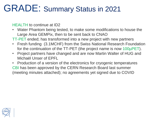## GRADE: Summary Status in 2021

HEALTH to continue at ID2

- Water Phantom being tested, to make some modifications to house the Large Area GEMPix, then to be sent back to CNAO
- TT-PET ended; has transformed into a new project with new partners
- Fresh funding (3.1MCHF) from the Swiss National Research Foundation for the continuation of the TT-PET (the project name is now 100µPET).
- Project partners have changed and are now Martin Walter of HUG and Michaël Unser of EPFL
- Production of a version of the electronics for cryogenic temperatures CBI has been approved by the CERN Research Board last summer (meeting minutes attached); no agreements yet signed due to COVID